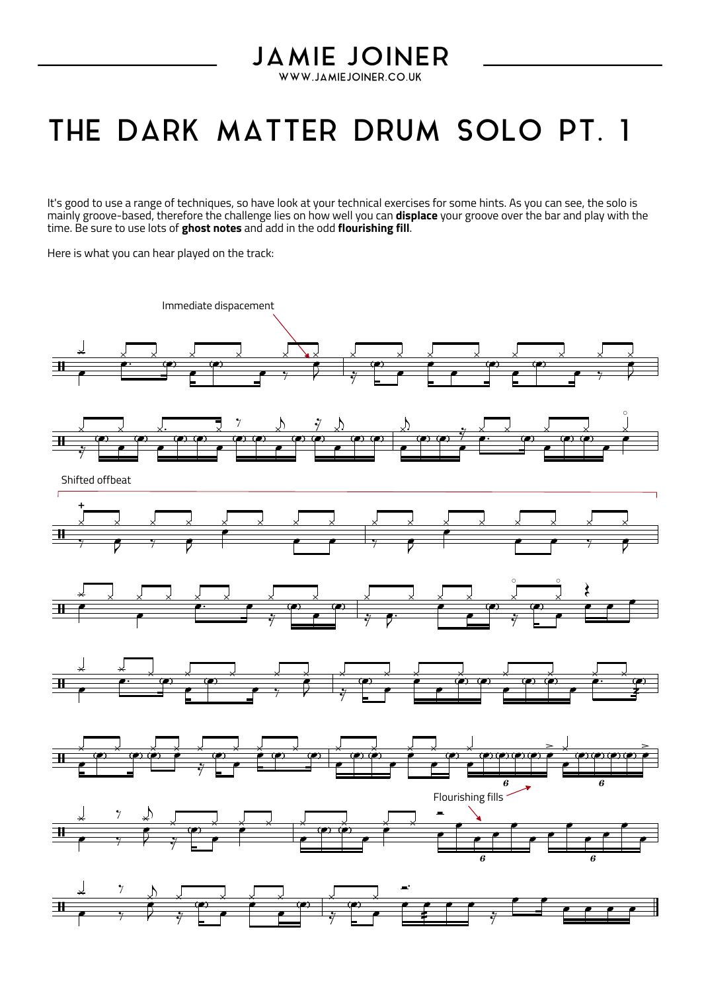## **JAMIE JOINER** WWW.JAMIEJOINER.CO.UK

## THE DARK MATTER DRUM SOLO PT. 1

It's good to use a range of techniques, so have look at your technical exercises for some hints. As you can see, the solo is<br>mainly groove-based, therefore the challenge lies on how well you can **displace** your groove over

Here is what you can hear played on the track: